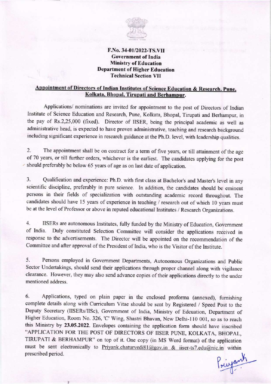

#### F.No. 34-01/2022-TS.VII Government of India Ministry of Education Department of Higher Education Technical Section VII

#### Appointment of Directors of Indian Institutes of Science Education & Research, Pune, Kolkata, Bhopal, Tirupati and Berhampur.

Applications/ nominations are invited for appointment to the post of Directors of Indian Institute of Science Education and Research, Pune, Kolkata, Bhopal, Tirupati and Berhampur, in the pay of Rs.2,25,000 (fixed). Director of IISER, being the principal academic as well as administrative head, is expected to have proven administrative, teaching and research background including significant experience in research guidance at the Ph.D. level, with leadership qualities.

2. The appointment shall be on contract for a term of five years, or till attainment of the age of 70 years, or till further orders, whichever is the earliest. The candidates applying for the post should preferably be below 65 years of age as on last date of application.

3. Qualification and experience: Ph.D. with first class at Bachelor's and Master's level in any scientific discipline, preferably in pure science. In addition, the candidates should be eminent persons in their fields of specialization with outstanding academic record throughout. The candidates should have 15 years of experience in teaching / research out of which l0 years must be at the level of Professor or above in reputed educational lnstitutes / Research Organizations.

4- IISERs are autonomous Institutes, fully funded by the Ministry of Education, Government of India. Duly constituted Selection Committee will consider the applications received in response to the advertisements. The Director will be appointed on the recommendation of the committee and after approval of the President of India, who is the visitor of the Institute.

5. Persons employed in Govemment Departments, Autonomous Organizations and Public Sector Undertakings, should send their applications through proper channel along with vigilance clearance. However, they may also send advance copies of their applications directly to the under mentioned address.

6. Applications, typed on plain paper in the enclosed proforma (annexed), furnishing complete details along with Curriculum Vitae should be sent by Registered / Speed Post to the Deputy Secretary (llSERs/lISc), Govemment of tndia, Ministry of Edcuation, Department of Higher Education, Room No. 326, 'C' Wing, Shastri Bhavan, New Delhi-110 001, so as to reach this Ministry by 23.05.2022. Envelopes containing the application form should have inscribed "APPLICATION FOR THE POST OF DIRECTORS OF IISER PUNE, KOLKATA, BHOPAL, TIRUPATI & BERHAMPUR" on top of it. one copy (in MS word fomrat) of the application must be sent electronically to Priyank.chaturvedi81@gov.in & iiser-ts7.edu@nic.in within prescribed period.

Printemp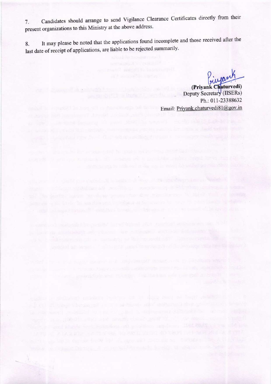Candidates should arrange to send Vigilance Clearance Certificates directly from their 7. present organizations to this Ministry at the above address.

It may please be noted that the applications found incomplete and those received after the 8. last date of receipt of applications, are liable to be rejected summarily.

the later of a charter completely the something street in the construction of the southern

(Privank Chaturvedi) Sause of a waitesty from Toylette the maintenance Deputy Secretary (IISERs) paying short the thorn in the case in the Ph.: 011-23388632 Email: Priyank.chaturvedi81@gov.in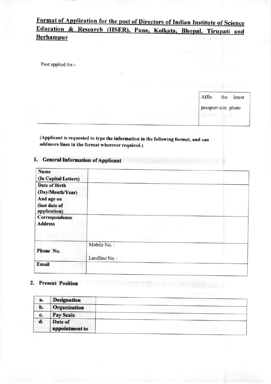## Format of Application for the post of Directors of Indian Institute of Science Education & Research (IISER), Pune, Kolkata, Bhopal, Tirupati and **Berhampur**

Post applied for:-

Affix the latest passport size photo

(Applicant is requested to type the information in the following format, and can addmore lines in the format wherever required.)

## 1. General Information of Applicant

| Name                              |                                                                                                                                                                                     |
|-----------------------------------|-------------------------------------------------------------------------------------------------------------------------------------------------------------------------------------|
| (In Capital Letters)              |                                                                                                                                                                                     |
| Date of Birth<br>(Day/Month/Year) | <b>PER TELEVISION</b>                                                                                                                                                               |
| And age on                        |                                                                                                                                                                                     |
| (last date of<br>application)     |                                                                                                                                                                                     |
| Correspondence<br><b>Address</b>  | the dealership of the Art Breakfast and                                                                                                                                             |
|                                   | $\mathcal{C} = \mathcal{C} \left( \mathcal{C} \left[ \begin{array}{cc} \mathcal{C} \left( \mathcal{C} \right) & \mathcal{C} \left( \mathcal{C} \right) \end{array} \right] \right)$ |
| Phone No.                         | Mobile No.:                                                                                                                                                                         |
|                                   | Landline No.:                                                                                                                                                                       |
| Email                             |                                                                                                                                                                                     |
|                                   |                                                                                                                                                                                     |

#### 2. Present Position

| a. | <b>Designation</b>        |  |
|----|---------------------------|--|
| b. | Organization              |  |
| c. | <b>Pay Scale</b>          |  |
| d. | Date of<br>appointment to |  |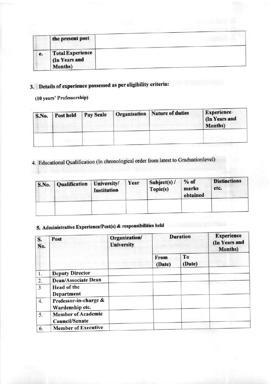|    | the present post         |  |
|----|--------------------------|--|
| e. | Total Experience         |  |
|    | (In Years and<br>Months) |  |

## 3. Details of experience possessed as per eligibility criteria:

## (10 years' Professorship)

| <b>S.No.</b> | Post held | Pay Scale | Organisation   Nature of duties | Experience<br>(In Years and<br><b>Months</b> ) |
|--------------|-----------|-----------|---------------------------------|------------------------------------------------|
|              |           |           |                                 |                                                |

# 4. Educational Qualification (In chronological order from latest to Graduationlevel)

| <b>S.No.</b> | <b>Qualification</b> | University/<br><b>Institution</b> | Year | Subject(s) $/$<br>Topic(s) | $%$ of<br>marks<br>obtained | <b>Distinctions</b><br>etc. |  |
|--------------|----------------------|-----------------------------------|------|----------------------------|-----------------------------|-----------------------------|--|
|              |                      |                                   |      |                            |                             |                             |  |

## 5. Administrative Experience/Post(s) & responsibilities held

| S.<br>No. | Post                                               | Organization/<br><b>University</b> |                | <b>Duration</b> | <b>Experience</b><br>(In Years and<br><b>Months</b> ) |
|-----------|----------------------------------------------------|------------------------------------|----------------|-----------------|-------------------------------------------------------|
|           |                                                    |                                    | From<br>(Date) | To<br>(Date)    |                                                       |
| 1.        | <b>Deputy Director</b>                             |                                    |                |                 |                                                       |
| 2.        | <b>Dean/Associate Dean</b>                         |                                    |                |                 |                                                       |
| 3         | Head of the<br>Department                          |                                    |                |                 |                                                       |
| 4.        | Professor-in-charge &<br>Wardenship etc.           |                                    |                |                 |                                                       |
| 5.        | <b>Member of Academic</b><br><b>Council/Senate</b> |                                    |                |                 |                                                       |
| 6.        | <b>Member of Executive</b>                         |                                    |                |                 |                                                       |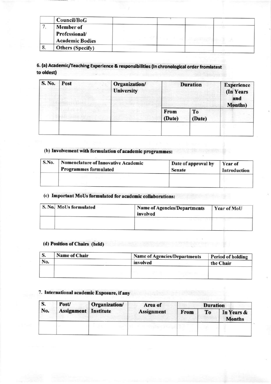|      | Council/BoG                                                        |  |  |
|------|--------------------------------------------------------------------|--|--|
|      | <b>Member of</b><br><b>Professional/</b><br><b>Academic Bodies</b> |  |  |
| ' გ. | <b>Others (Specify)</b>                                            |  |  |

### 6. (a) Academic/Teaching Experience & responsibilities (In chronological order fromlatest to oldest)

| S. No. | Post | Organization/<br><b>University</b> | <b>Duration</b> | <b>Experience</b><br>(In Years<br>and<br><b>Months</b> ) |  |
|--------|------|------------------------------------|-----------------|----------------------------------------------------------|--|
|        |      |                                    | From<br>(Date)  | To<br>(Date)                                             |  |
|        |      |                                    |                 |                                                          |  |

#### (b) Involvement with formulation of academic programmes:

| S.No. | <b>Nomenclature of Innovative Academic</b> | Date of approval by | Year of      |
|-------|--------------------------------------------|---------------------|--------------|
|       | <b>Programmes formulated</b>               | <b>Senate</b>       | Introduction |
|       |                                            |                     |              |

## (c) Important MoUs formulated for academic collaborations:

| S. No. MoUs formulated | <b>Name of Agencies/Departments</b><br>involved | <b>Year of MoU</b> |
|------------------------|-------------------------------------------------|--------------------|
|                        |                                                 |                    |

#### (d) Position of Chairs (held)

| S.  | <b>Name of Chair</b> | <b>Name of Agencies/Departments</b> | Period of holding |
|-----|----------------------|-------------------------------------|-------------------|
| No. |                      | involved                            | the Chair         |
|     |                      |                                     |                   |
|     |                      |                                     |                   |

#### 7. International academic Exposure, if any

| <b>S.</b> | Post/ | Organization/<br><b>Assignment</b> Institute | Area of<br><b>Assignment</b> | <b>Duration</b> |    |                             |
|-----------|-------|----------------------------------------------|------------------------------|-----------------|----|-----------------------------|
| No.       |       |                                              |                              | From            | To | In Years &<br><b>Months</b> |
|           |       |                                              |                              |                 |    |                             |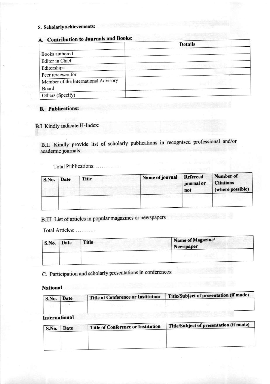### 8. Scholarly achievements:

## A. Contribution to Journals and Books:

| $\sim$                               | <b>Details</b>  |
|--------------------------------------|-----------------|
| Books authored                       |                 |
| Editor in Chief                      |                 |
| Editorships                          |                 |
| Peer reviewer for                    |                 |
| Member of the International Advisory | an Tark British |
| Board                                |                 |
| Others (Specify)                     |                 |

#### B. Publications

#### B.I Kindly indicate H-lndex:

B.II Kindly provide list of scholarly publications in recognised professional and/or academic joumals:

Total Publications: .............

| S.No. Date | Title | Name of journal | Refereed<br>journal or<br>not | Number of<br><b>Citations</b><br>(where possible) |
|------------|-------|-----------------|-------------------------------|---------------------------------------------------|
|            |       |                 |                               |                                                   |

B.III List of articles in popular magazines or newspapers

Total Articles

| S.No. Date | Title | Name of Magazine/<br>Newspaper |
|------------|-------|--------------------------------|
|            |       |                                |

C. Participation and scholarly presentatioos in conferences:

National

| S.No. | Date | Title of Conference or Institution | Title/Subject of presentation (if made) |
|-------|------|------------------------------------|-----------------------------------------|
|       |      |                                    |                                         |

International

| S.No. | Date | Title of Conference or Institution | Title/Subject of presentation (if made) |
|-------|------|------------------------------------|-----------------------------------------|
|       |      |                                    |                                         |
|       |      |                                    |                                         |
|       |      |                                    |                                         |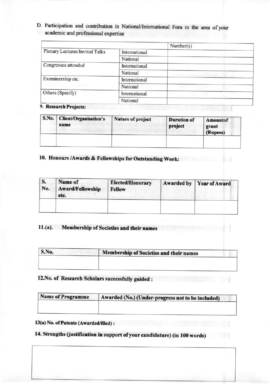D. Participation and contribution in National/International Fora in the area of your academic and professional expertise

|                                |               | Number(s) |  |
|--------------------------------|---------------|-----------|--|
| Plenary Lectures/Invited Talks | International |           |  |
|                                | National      |           |  |
| Congresses attended            | International |           |  |
|                                | National      |           |  |
| Examinership etc.              | International |           |  |
|                                | National      |           |  |
| Others (Specify)               | International |           |  |
|                                | National      |           |  |

9. Research Projects:

| S.No. Client/Organisation's<br>name | Nature of project | <b>Duration of</b><br>project | Amountof<br>grant<br>(Rupees) |
|-------------------------------------|-------------------|-------------------------------|-------------------------------|
|                                     |                   |                               |                               |

ă

### 10. Honours / Awards & Fellowships for Outstanding Work:

| S.<br>No. | Name of<br><b>Award/Fellowship</b><br>etc. | <b>Elected/Honorary</b><br><b>Fellow</b> | Awarded by Year of Award |
|-----------|--------------------------------------------|------------------------------------------|--------------------------|
|           |                                            |                                          |                          |

#### Membership of Societies and their names  $11.(a).$

| S.No. | Membership of Societies and their names |
|-------|-----------------------------------------|
|       |                                         |
|       |                                         |

## 12. No. of Research Scholars successfully guided:

| Name of Programme | Awarded (No.) (Under-progress not to be included) |
|-------------------|---------------------------------------------------|
|                   |                                                   |

#### 13(a) No. of Patents (Awarded/filed) :

## 14. Strengths (justification in support of your candidature) (in 100 words)